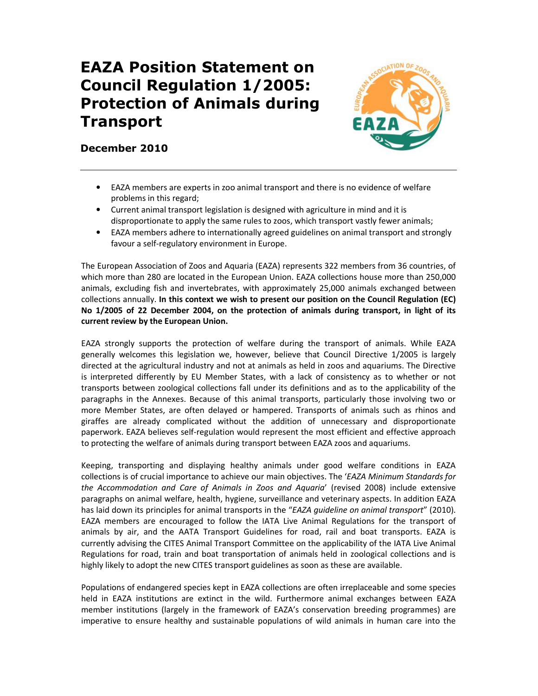## EAZA Position Statement on Council Regulation 1/2005: Protection of Animals during Transport



## December 2010

- EAZA members are experts in zoo animal transport and there is no evidence of welfare problems in this regard;
- Current animal transport legislation is designed with agriculture in mind and it is disproportionate to apply the same rules to zoos, which transport vastly fewer animals;
- EAZA members adhere to internationally agreed guidelines on animal transport and strongly favour a self-regulatory environment in Europe.

The European Association of Zoos and Aquaria (EAZA) represents 322 members from 36 countries, of which more than 280 are located in the European Union. EAZA collections house more than 250,000 animals, excluding fish and invertebrates, with approximately 25,000 animals exchanged between collections annually. In this context we wish to present our position on the Council Regulation (EC) No 1/2005 of 22 December 2004, on the protection of animals during transport, in light of its current review by the European Union.

EAZA strongly supports the protection of welfare during the transport of animals. While EAZA generally welcomes this legislation we, however, believe that Council Directive 1/2005 is largely directed at the agricultural industry and not at animals as held in zoos and aquariums. The Directive is interpreted differently by EU Member States, with a lack of consistency as to whether or not transports between zoological collections fall under its definitions and as to the applicability of the paragraphs in the Annexes. Because of this animal transports, particularly those involving two or more Member States, are often delayed or hampered. Transports of animals such as rhinos and giraffes are already complicated without the addition of unnecessary and disproportionate paperwork. EAZA believes self-regulation would represent the most efficient and effective approach to protecting the welfare of animals during transport between EAZA zoos and aquariums.

Keeping, transporting and displaying healthy animals under good welfare conditions in EAZA collections is of crucial importance to achieve our main objectives. The 'EAZA Minimum Standards for the Accommodation and Care of Animals in Zoos and Aquaria' (revised 2008) include extensive paragraphs on animal welfare, health, hygiene, surveillance and veterinary aspects. In addition EAZA has laid down its principles for animal transports in the "EAZA quideline on animal transport" (2010). EAZA members are encouraged to follow the IATA Live Animal Regulations for the transport of animals by air, and the AATA Transport Guidelines for road, rail and boat transports. EAZA is currently advising the CITES Animal Transport Committee on the applicability of the IATA Live Animal Regulations for road, train and boat transportation of animals held in zoological collections and is highly likely to adopt the new CITES transport guidelines as soon as these are available.

Populations of endangered species kept in EAZA collections are often irreplaceable and some species held in EAZA institutions are extinct in the wild. Furthermore animal exchanges between EAZA member institutions (largely in the framework of EAZA's conservation breeding programmes) are imperative to ensure healthy and sustainable populations of wild animals in human care into the